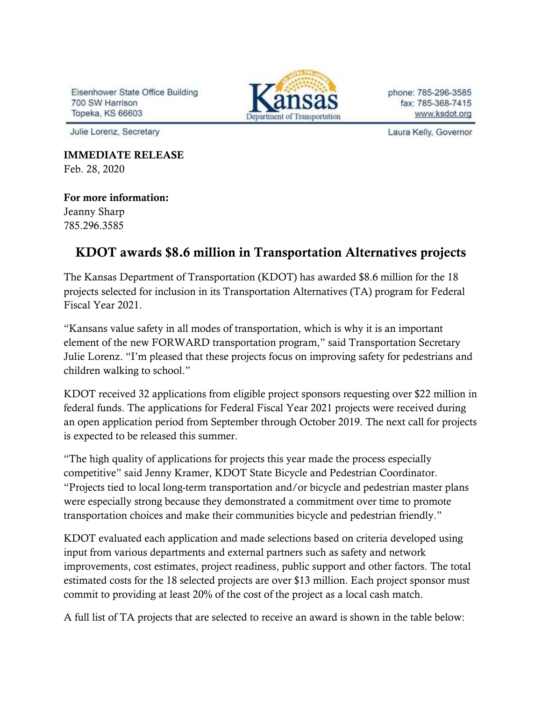Eisenhower State Office Building 700 SW Harrison Topeka, KS 66603

Julie Lorenz, Secretary

IMMEDIATE RELEASE Feb. 28, 2020

## For more information:

Jeanny Sharp 785.296.3585

## KDOT awards \$8.6 million in Transportation Alternatives projects

The Kansas Department of Transportation (KDOT) has awarded \$8.6 million for the 18 projects selected for inclusion in its Transportation Alternatives (TA) program for Federal Fiscal Year 2021.

"Kansans value safety in all modes of transportation, which is why it is an important element of the new FORWARD transportation program," said Transportation Secretary Julie Lorenz. "I'm pleased that these projects focus on improving safety for pedestrians and children walking to school."

KDOT received 32 applications from eligible project sponsors requesting over \$22 million in federal funds. The applications for Federal Fiscal Year 2021 projects were received during an open application period from September through October 2019. The next call for projects is expected to be released this summer.

"The high quality of applications for projects this year made the process especially competitive" said Jenny Kramer, KDOT State Bicycle and Pedestrian Coordinator. "Projects tied to local long-term transportation and/or bicycle and pedestrian master plans were especially strong because they demonstrated a commitment over time to promote transportation choices and make their communities bicycle and pedestrian friendly."

KDOT evaluated each application and made selections based on criteria developed using input from various departments and external partners such as safety and network improvements, cost estimates, project readiness, public support and other factors. The total estimated costs for the 18 selected projects are over \$13 million. Each project sponsor must commit to providing at least 20% of the cost of the project as a local cash match.

A full list of TA projects that are selected to receive an award is shown in the table below:



phone: 785-296-3585 fax: 785-368-7415 www.ksdot.org

Laura Kelly, Governor